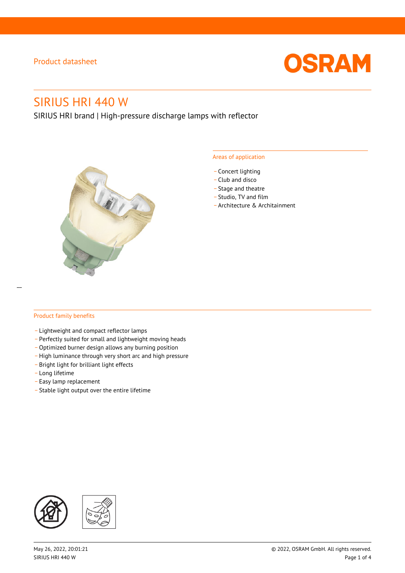

# SIRIUS HRI 440 W

SIRIUS HRI brand | High-pressure discharge lamps with reflector



#### Areas of application

- Concert lighting
- \_ Club and disco
- Stage and theatre
- \_ Studio, TV and film
- \_ Architecture & Architainment

#### Product family benefits

- \_ Lightweight and compact reflector lamps
- \_ Perfectly suited for small and lightweight moving heads
- Optimized burner design allows any burning position
- High luminance through very short arc and high pressure
- \_ Bright light for brilliant light effects
- \_ Long lifetime
- \_ Easy lamp replacement
- \_ Stable light output over the entire lifetime

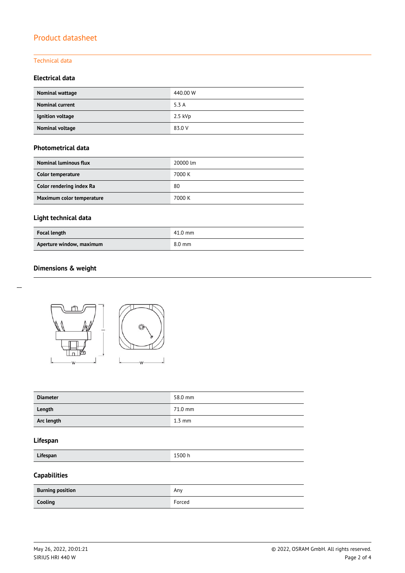#### Technical data

#### **Electrical data**

| Nominal wattage        | 440.00 W  |
|------------------------|-----------|
| <b>Nominal current</b> | 5.3 A     |
| Ignition voltage       | $2.5$ kVp |
| <b>Nominal voltage</b> | 83.0 V    |

#### **Photometrical data**

| Nominal luminous flux     | 20000 lm |
|---------------------------|----------|
| Color temperature         | 7000 K   |
| Color rendering index Ra  | 80       |
| Maximum color temperature | 7000 K   |

## **Light technical data**

| <b>Focal length</b>      | $41.0$ mm        |
|--------------------------|------------------|
| Aperture window, maximum | $8.0 \text{ mm}$ |

#### **Dimensions & weight**



| <b>Diameter</b> | 58.0 mm          |
|-----------------|------------------|
| Length          | 71.0 mm          |
| Arc length      | $1.3 \text{ mm}$ |

#### **Lifespan**

**Lifespan** 1500 h

## **Capabilities**

| <b>Burning position</b> | Anv    |
|-------------------------|--------|
| Cooling                 | Forced |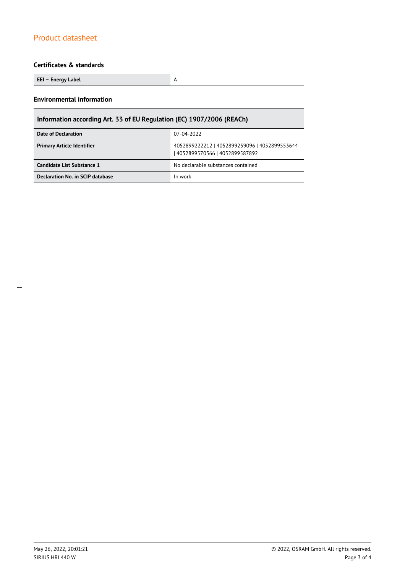#### **Certificates & standards**

**EEI – Energy Label** A

#### **Environmental information**

## **Information according Art. 33 of EU Regulation (EC) 1907/2006 (REACh)**

| Date of Declaration               | 07-04-2022                                                                       |  |  |
|-----------------------------------|----------------------------------------------------------------------------------|--|--|
| <b>Primary Article Identifier</b> | 4052899222212   4052899259096   4052899553644<br>  4052899570566   4052899587892 |  |  |
| Candidate List Substance 1        | No declarable substances contained                                               |  |  |
| Declaration No. in SCIP database  | In work                                                                          |  |  |